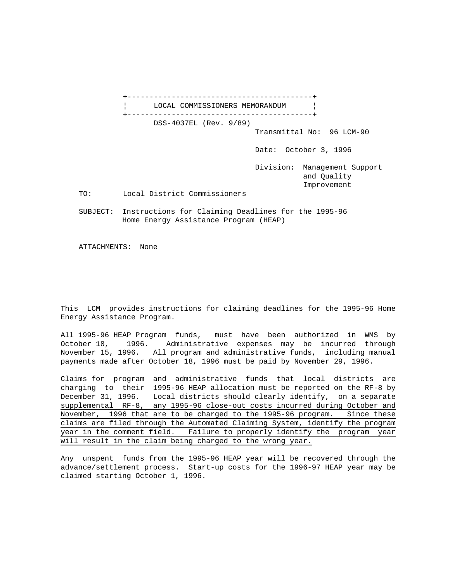+------------------------------------------+ LOCAL COMMISSIONERS MEMORANDUM | +------------------------------------------+ DSS-4037EL (Rev. 9/89) Transmittal No: 96 LCM-90 Date: October 3, 1996 Division: Management Support and Quality Improvement TO: Local District Commissioners SUBJECT: Instructions for Claiming Deadlines for the 1995-96 Home Energy Assistance Program (HEAP)

ATTACHMENTS: None

This LCM provides instructions for claiming deadlines for the 1995-96 Home Energy Assistance Program.

All 1995-96 HEAP Program funds, must have been authorized in WMS by October 18, 1996. Administrative expenses may be incurred through November 15, 1996. All program and administrative funds, including manual payments made after October 18, 1996 must be paid by November 29, 1996.

Claims for program and administrative funds that local districts are charging to their 1995-96 HEAP allocation must be reported on the RF-8 by December 31, 1996. Local districts should clearly identify, on a separate supplemental RF-8, any 1995-96 close-out costs incurred during October and November, 1996 that are to be charged to the 1995-96 program. Since these claims are filed through the Automated Claiming System, identify the program year in the comment field. Failure to properly identify the program year will result in the claim being charged to the wrong year.

Any unspent funds from the 1995-96 HEAP year will be recovered through the advance/settlement process. Start-up costs for the 1996-97 HEAP year may be claimed starting October 1, 1996.